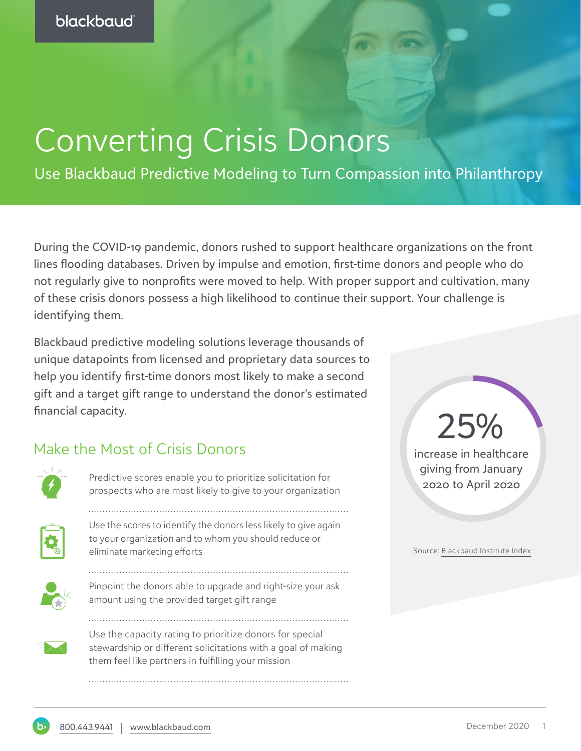# Converting Crisis Donors

Use Blackbaud Predictive Modeling to Turn Compassion into Philanthropy

During the COVID-19 pandemic, donors rushed to support healthcare organizations on the front lines flooding databases. Driven by impulse and emotion, first-time donors and people who do not regularly give to nonprofits were moved to help. With proper support and cultivation, many of these crisis donors possess a high likelihood to continue their support. Your challenge is identifying them.

Blackbaud predictive modeling solutions leverage thousands of unique datapoints from licensed and proprietary data sources to help you identify first-time donors most likely to make a second gift and a target gift range to understand the donor's estimated financial capacity.

# Make the Most of Crisis Donors



Predictive scores enable you to prioritize solicitation for prospects who are most likely to give to your organization



Use the scores to identify the donors less likely to give again to your organization and to whom you should reduce or eliminate marketing efforts



Pinpoint the donors able to upgrade and right-size your ask amount using the provided target gift range



Use the capacity rating to prioritize donors for special stewardship or different solicitations with a goal of making them feel like partners in fulfilling your mission

25% increase in healthcare

giving from January 2020 to April 2020

Source: [Blackbaud Institute Index](https://institute.blackbaud.com/the-state-of-the-healthcare-subsector/)